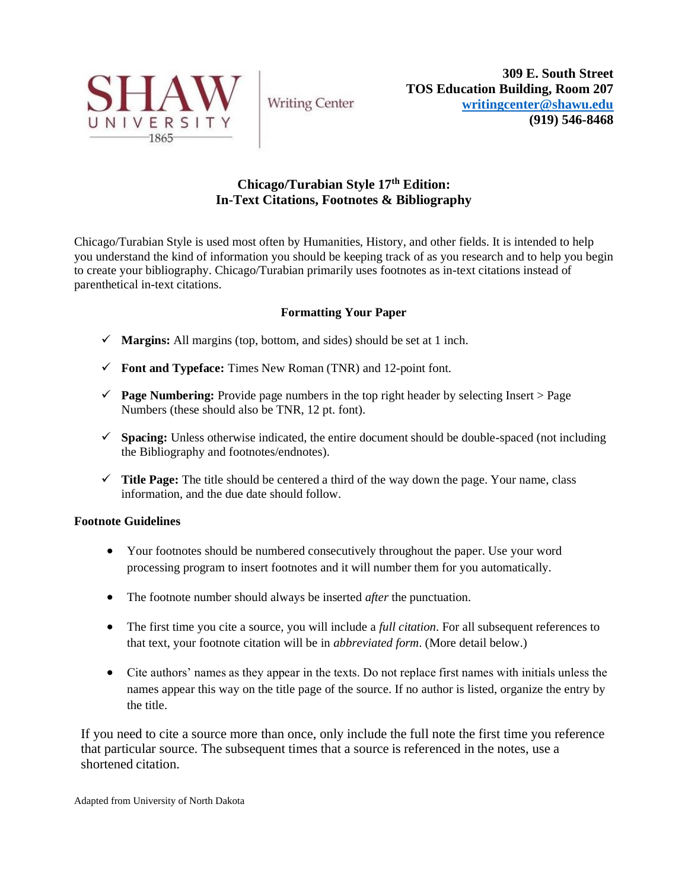

**Writing Center** 

# **Chicago/Turabian Style 17th Edition: In-Text Citations, Footnotes & Bibliography**

Chicago/Turabian Style is used most often by Humanities, History, and other fields. It is intended to help you understand the kind of information you should be keeping track of as you research and to help you begin to create your bibliography. Chicago/Turabian primarily uses footnotes as in-text citations instead of parenthetical in-text citations.

## **Formatting Your Paper**

- ✓ **Margins:** All margins (top, bottom, and sides) should be set at 1 inch.
- ✓ **Font and Typeface:** Times New Roman (TNR) and 12-point font.
- ✓ **Page Numbering:** Provide page numbers in the top right header by selecting Insert > Page Numbers (these should also be TNR, 12 pt. font).
- ✓ **Spacing:** Unless otherwise indicated, the entire document should be double-spaced (not including the Bibliography and footnotes/endnotes).
- $\checkmark$  **Title Page:** The title should be centered a third of the way down the page. Your name, class information, and the due date should follow.

## **Footnote Guidelines**

- Your footnotes should be numbered consecutively throughout the paper. Use your word processing program to insert footnotes and it will number them for you automatically.
- The footnote number should always be inserted *after* the punctuation.
- The first time you cite a source, you will include a *full citation*. For all subsequent references to that text, your footnote citation will be in *abbreviated form*. (More detail below.)
- Cite authors' names as they appear in the texts. Do not replace first names with initials unless the names appear this way on the title page of the source. If no author is listed, organize the entry by the title.

If you need to cite a source more than once, only include the full note the first time you reference that particular source. The subsequent times that a source is referenced in the notes, use a shortened citation.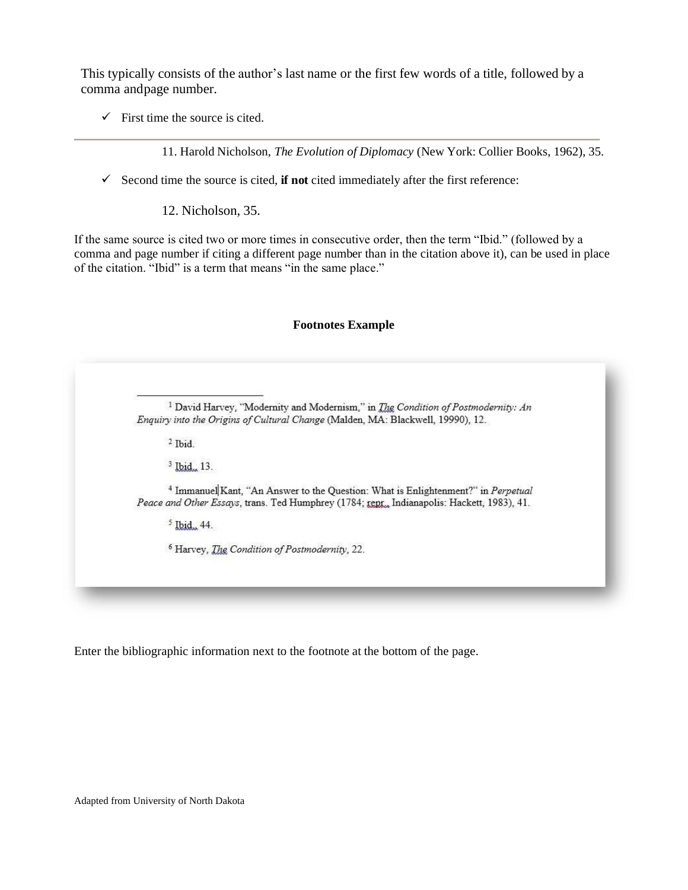This typically consists of the author's last name or the first few words of a title, followed by a comma andpage number.

 $\checkmark$  First time the source is cited.

11. Harold Nicholson, *The Evolution of Diplomacy* (New York: Collier Books, 1962), 35.

✓ Second time the source is cited, **if not** cited immediately after the first reference:

12. Nicholson, 35.

If the same source is cited two or more times in consecutive order, then the term "Ibid." (followed by a comma and page number if citing a different page number than in the citation above it), can be used in place of the citation. "Ibid" is a term that means "in the same place."

### **Footnotes Example**

<sup>1</sup> David Harvey, "Modernity and Modernism," in *The Condition of Postmodernity: An* Enquiry into the Origins of Cultural Change (Malden, MA: Blackwell, 19990), 12.

 $2$  Thid

<sup>3</sup> Ibid., 13.

<sup>4</sup> Immanuel Kant. "An Answer to the Ouestion: What is Enlightenment?" in Perpetual Peace and Other Essays, trans. Ted Humphrey (1784; tept., Indianapolis: Hackett, 1983), 41.

 $5$  Ibid. 44.

<sup>6</sup> Harvey, *The Condition of Postmodernity*, 22.

Enter the bibliographic information next to the footnote at the bottom of the page.

Adapted from University of North Dakota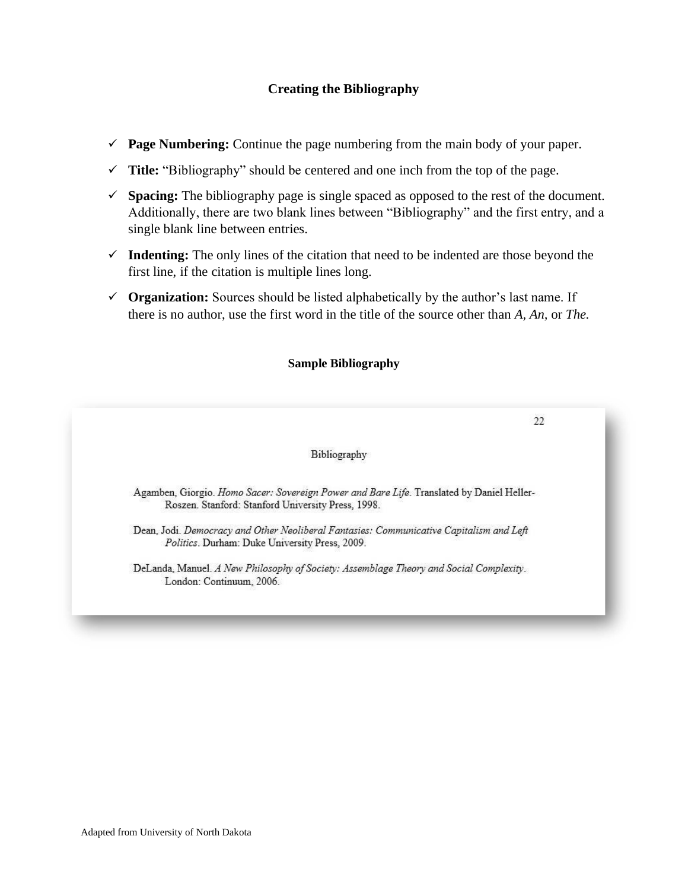## **Creating the Bibliography**

- ✓ **Page Numbering:** Continue the page numbering from the main body of your paper.
- ✓ **Title:** "Bibliography" should be centered and one inch from the top of the page.
- ✓ **Spacing:** The bibliography page is single spaced as opposed to the rest of the document. Additionally, there are two blank lines between "Bibliography" and the first entry, and a single blank line between entries.
- ✓ **Indenting:** The only lines of the citation that need to be indented are those beyond the first line, if the citation is multiple lines long.
- ✓ **Organization:** Sources should be listed alphabetically by the author's last name. If there is no author, use the first word in the title of the source other than *A, An,* or *The.*

### **Sample Bibliography**

 $22$ 

#### Bibliography

Agamben, Giorgio. Homo Sacer: Sovereign Power and Bare Life. Translated by Daniel Heller-Roszen. Stanford: Stanford University Press, 1998.

Dean, Jodi. Democracy and Other Neoliberal Fantasies: Communicative Capitalism and Left Politics. Durham: Duke University Press, 2009.

DeLanda, Manuel. A New Philosophy of Society: Assemblage Theory and Social Complexity. London: Continuum, 2006.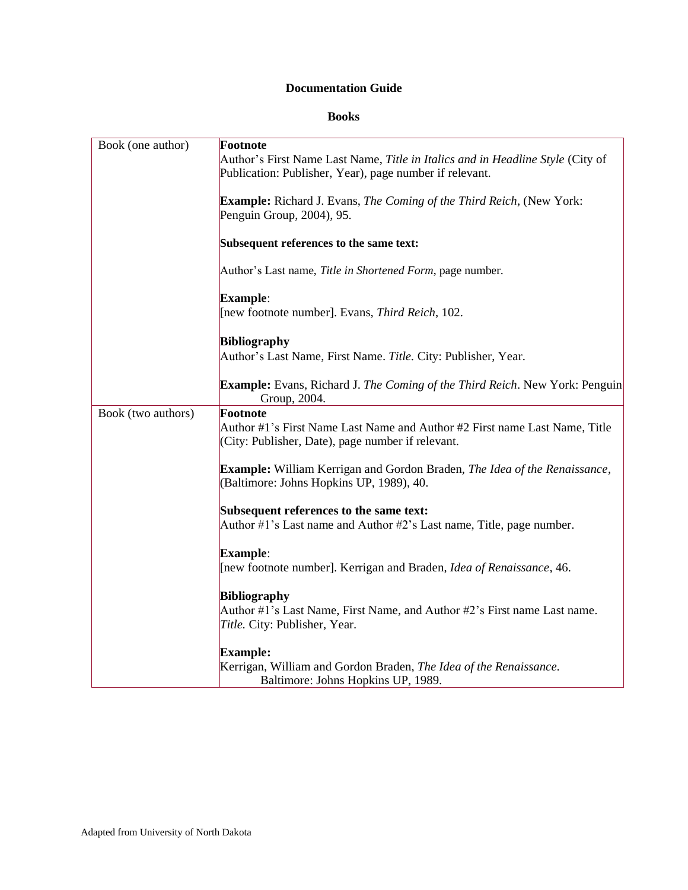# **Documentation Guide**

### **Books**

|                    | Footnote                                                                                                                                  |
|--------------------|-------------------------------------------------------------------------------------------------------------------------------------------|
| Book (one author)  | Author's First Name Last Name, Title in Italics and in Headline Style (City of<br>Publication: Publisher, Year), page number if relevant. |
|                    | <b>Example:</b> Richard J. Evans, The Coming of the Third Reich, (New York:<br>Penguin Group, 2004), 95.                                  |
|                    | Subsequent references to the same text:                                                                                                   |
|                    | Author's Last name, Title in Shortened Form, page number.                                                                                 |
|                    | <b>Example:</b><br>[new footnote number]. Evans, Third Reich, 102.                                                                        |
|                    | <b>Bibliography</b><br>Author's Last Name, First Name. Title. City: Publisher, Year.                                                      |
|                    | <b>Example:</b> Evans, Richard J. The Coming of the Third Reich. New York: Penguin<br>Group, 2004.                                        |
| Book (two authors) | Footnote                                                                                                                                  |
|                    | Author #1's First Name Last Name and Author #2 First name Last Name, Title<br>(City: Publisher, Date), page number if relevant.           |
|                    | <b>Example:</b> William Kerrigan and Gordon Braden, The Idea of the Renaissance,<br>(Baltimore: Johns Hopkins UP, 1989), 40.              |
|                    |                                                                                                                                           |
|                    | Subsequent references to the same text:<br>Author #1's Last name and Author #2's Last name, Title, page number.                           |
|                    | Example:                                                                                                                                  |
|                    | [new footnote number]. Kerrigan and Braden, Idea of Renaissance, 46.                                                                      |
|                    | <b>Bibliography</b>                                                                                                                       |
|                    | Author #1's Last Name, First Name, and Author #2's First name Last name.<br>Title. City: Publisher, Year.                                 |
|                    | <b>Example:</b>                                                                                                                           |
|                    | Kerrigan, William and Gordon Braden, The Idea of the Renaissance.<br>Baltimore: Johns Hopkins UP, 1989.                                   |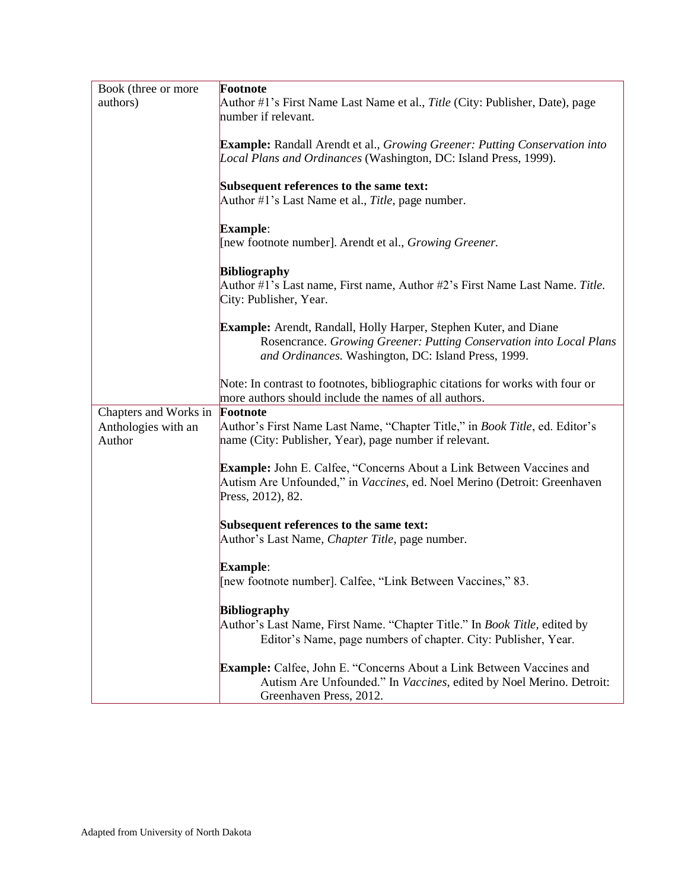| Book (three or more   | Footnote                                                                            |
|-----------------------|-------------------------------------------------------------------------------------|
| authors)              | Author #1's First Name Last Name et al., <i>Title</i> (City: Publisher, Date), page |
|                       | number if relevant.                                                                 |
|                       |                                                                                     |
|                       | <b>Example:</b> Randall Arendt et al., Growing Greener: Putting Conservation into   |
|                       | Local Plans and Ordinances (Washington, DC: Island Press, 1999).                    |
|                       |                                                                                     |
|                       | Subsequent references to the same text:                                             |
|                       | Author #1's Last Name et al., Title, page number.                                   |
|                       |                                                                                     |
|                       | <b>Example:</b>                                                                     |
|                       | [new footnote number]. Arendt et al., Growing Greener.                              |
|                       |                                                                                     |
|                       | <b>Bibliography</b>                                                                 |
|                       | Author #1's Last name, First name, Author #2's First Name Last Name. Title.         |
|                       | City: Publisher, Year.                                                              |
|                       |                                                                                     |
|                       | Example: Arendt, Randall, Holly Harper, Stephen Kuter, and Diane                    |
|                       | Rosencrance. Growing Greener: Putting Conservation into Local Plans                 |
|                       | and Ordinances. Washington, DC: Island Press, 1999.                                 |
|                       |                                                                                     |
|                       | Note: In contrast to footnotes, bibliographic citations for works with four or      |
|                       | more authors should include the names of all authors.                               |
| Chapters and Works in | Footnote                                                                            |
| Anthologies with an   | Author's First Name Last Name, "Chapter Title," in <i>Book Title</i> , ed. Editor's |
| Author                | name (City: Publisher, Year), page number if relevant.                              |
|                       |                                                                                     |
|                       | <b>Example:</b> John E. Calfee, "Concerns About a Link Between Vaccines and         |
|                       | Autism Are Unfounded," in Vaccines, ed. Noel Merino (Detroit: Greenhaven            |
|                       | Press, 2012), 82.                                                                   |
|                       |                                                                                     |
|                       | Subsequent references to the same text:                                             |
|                       | Author's Last Name, Chapter Title, page number.                                     |
|                       |                                                                                     |
|                       | <b>Example:</b>                                                                     |
|                       | [new footnote number]. Calfee, "Link Between Vaccines," 83.                         |
|                       | <b>Bibliography</b>                                                                 |
|                       | Author's Last Name, First Name. "Chapter Title." In <i>Book Title</i> , edited by   |
|                       | Editor's Name, page numbers of chapter. City: Publisher, Year.                      |
|                       |                                                                                     |
|                       | <b>Example:</b> Calfee, John E. "Concerns About a Link Between Vaccines and         |
|                       | Autism Are Unfounded." In Vaccines, edited by Noel Merino. Detroit:                 |
|                       | Greenhaven Press, 2012.                                                             |
|                       |                                                                                     |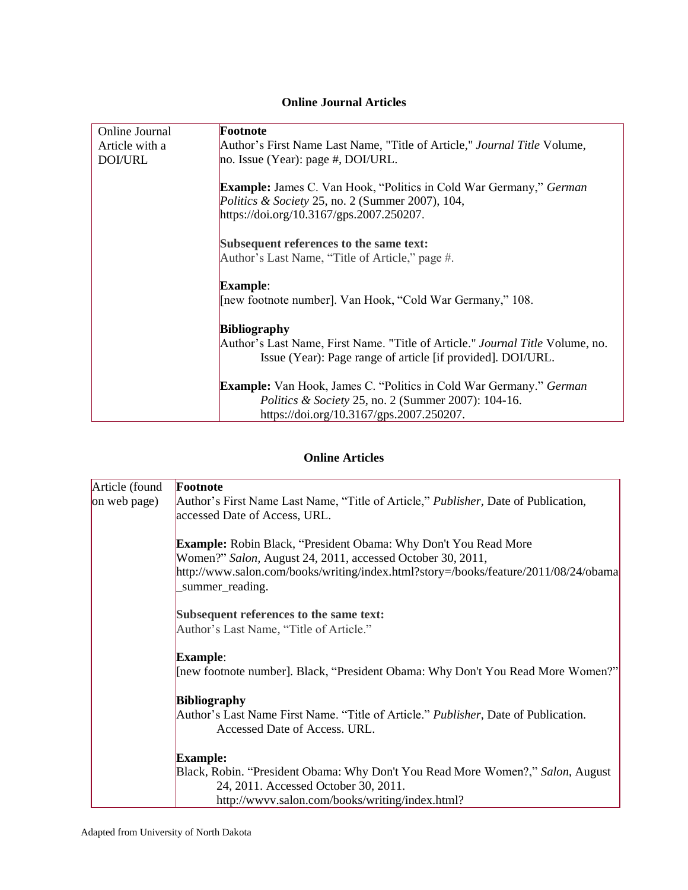### **Online Journal Articles**

| Online Journal | Footnote                                                                             |
|----------------|--------------------------------------------------------------------------------------|
| Article with a | Author's First Name Last Name, "Title of Article," <i>Journal Title</i> Volume,      |
|                |                                                                                      |
| DOI/URL        | no. Issue (Year): page $#$ , DOI/URL.                                                |
|                |                                                                                      |
|                | Example: James C. Van Hook, "Politics in Cold War Germany," German                   |
|                | Politics & Society 25, no. 2 (Summer 2007), 104,                                     |
|                | https://doi.org/10.3167/gps.2007.250207.                                             |
|                |                                                                                      |
|                |                                                                                      |
|                | Subsequent references to the same text:                                              |
|                | Author's Last Name, "Title of Article," page #.                                      |
|                |                                                                                      |
|                | <b>Example:</b>                                                                      |
|                | [new footnote number]. Van Hook, "Cold War Germany," 108.                            |
|                |                                                                                      |
|                | <b>Bibliography</b>                                                                  |
|                | Author's Last Name, First Name. "Title of Article." <i>Journal Title</i> Volume, no. |
|                | Issue (Year): Page range of article [if provided]. DOI/URL.                          |
|                |                                                                                      |
|                | <b>Example:</b> Van Hook, James C. "Politics in Cold War Germany." German            |
|                | <i>Politics &amp; Society 25, no. 2 (Summer 2007): 104-16.</i>                       |
|                |                                                                                      |
|                | https://doi.org/10.3167/gps.2007.250207.                                             |

# **Online Articles**

| Article (found | Footnote                                                                                                                                                                                                                                       |
|----------------|------------------------------------------------------------------------------------------------------------------------------------------------------------------------------------------------------------------------------------------------|
| on web page)   | Author's First Name Last Name, "Title of Article," <i>Publisher</i> , Date of Publication,                                                                                                                                                     |
|                | accessed Date of Access, URL.                                                                                                                                                                                                                  |
|                | <b>Example:</b> Robin Black, "President Obama: Why Don't You Read More<br>Women?" Salon, August 24, 2011, accessed October 30, 2011,<br>http://www.salon.com/books/writing/index.html?story=/books/feature/2011/08/24/obama<br>summer_reading. |
|                | Subsequent references to the same text:<br>Author's Last Name, "Title of Article."                                                                                                                                                             |
|                | <b>Example:</b>                                                                                                                                                                                                                                |
|                | [new footnote number]. Black, "President Obama: Why Don't You Read More Women?"                                                                                                                                                                |
|                | <b>Bibliography</b>                                                                                                                                                                                                                            |
|                | Author's Last Name First Name. "Title of Article." <i>Publisher</i> , Date of Publication.<br>Accessed Date of Access. URL.                                                                                                                    |
|                | <b>Example:</b>                                                                                                                                                                                                                                |
|                | Black, Robin. "President Obama: Why Don't You Read More Women?," Salon, August                                                                                                                                                                 |
|                | 24, 2011. Accessed October 30, 2011.                                                                                                                                                                                                           |
|                | http://www.salon.com/books/writing/index.html?                                                                                                                                                                                                 |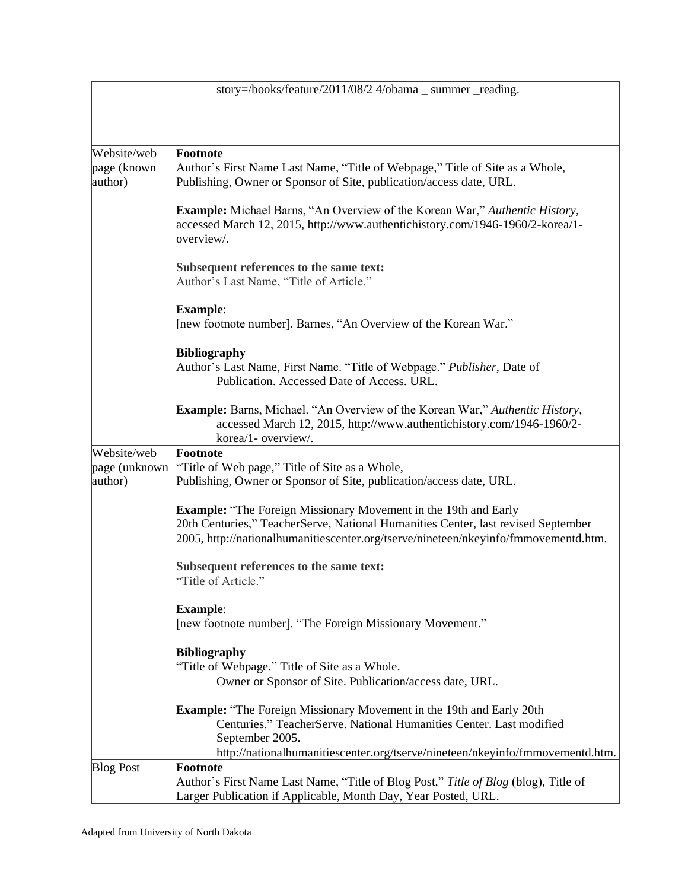|                          | story=/books/feature/2011/08/2 4/obama _ summer _reading.                                                                                                                                                                                          |
|--------------------------|----------------------------------------------------------------------------------------------------------------------------------------------------------------------------------------------------------------------------------------------------|
|                          |                                                                                                                                                                                                                                                    |
|                          |                                                                                                                                                                                                                                                    |
| Website/web              | Footnote                                                                                                                                                                                                                                           |
| page (known<br>author)   | Author's First Name Last Name, "Title of Webpage," Title of Site as a Whole,<br>Publishing, Owner or Sponsor of Site, publication/access date, URL.                                                                                                |
|                          | Example: Michael Barns, "An Overview of the Korean War," Authentic History,<br>accessed March 12, 2015, http://www.authentichistory.com/1946-1960/2-korea/1-<br>overview/.                                                                         |
|                          | Subsequent references to the same text:<br>Author's Last Name, "Title of Article."                                                                                                                                                                 |
|                          | Example:                                                                                                                                                                                                                                           |
|                          | [new footnote number]. Barnes, "An Overview of the Korean War."                                                                                                                                                                                    |
|                          | <b>Bibliography</b>                                                                                                                                                                                                                                |
|                          | Author's Last Name, First Name. "Title of Webpage." Publisher, Date of<br>Publication. Accessed Date of Access. URL.                                                                                                                               |
|                          | <b>Example:</b> Barns, Michael. "An Overview of the Korean War," Authentic History,<br>accessed March 12, 2015, http://www.authentichistory.com/1946-1960/2-<br>korea/1- overview/.                                                                |
| Website/web              | Footnote                                                                                                                                                                                                                                           |
| page (unknown<br>author) | "Title of Web page," Title of Site as a Whole,<br>Publishing, Owner or Sponsor of Site, publication/access date, URL.                                                                                                                              |
|                          | <b>Example:</b> "The Foreign Missionary Movement in the 19th and Early<br>20th Centuries," TeacherServe, National Humanities Center, last revised September<br>2005, http://nationalhumanitiescenter.org/tserve/nineteen/nkeyinfo/fmmovementd.htm. |
|                          | Subsequent references to the same text:<br>"Title of Article."                                                                                                                                                                                     |
|                          | Example:<br>Thew footnote number]. "The Foreign Missionary Movement."                                                                                                                                                                              |
|                          | Bibliography                                                                                                                                                                                                                                       |
|                          | "Title of Webpage." Title of Site as a Whole.                                                                                                                                                                                                      |
|                          | Owner or Sponsor of Site. Publication/access date, URL.                                                                                                                                                                                            |
|                          | <b>Example:</b> "The Foreign Missionary Movement in the 19th and Early 20th<br>Centuries." TeacherServe. National Humanities Center. Last modified<br>September 2005.                                                                              |
|                          | http://nationalhumanitiescenter.org/tserve/nineteen/nkeyinfo/fmmovementd.htm.                                                                                                                                                                      |
| <b>Blog Post</b>         | Footnote<br>Author's First Name Last Name, "Title of Blog Post," Title of Blog (blog), Title of                                                                                                                                                    |
|                          | Larger Publication if Applicable, Month Day, Year Posted, URL.                                                                                                                                                                                     |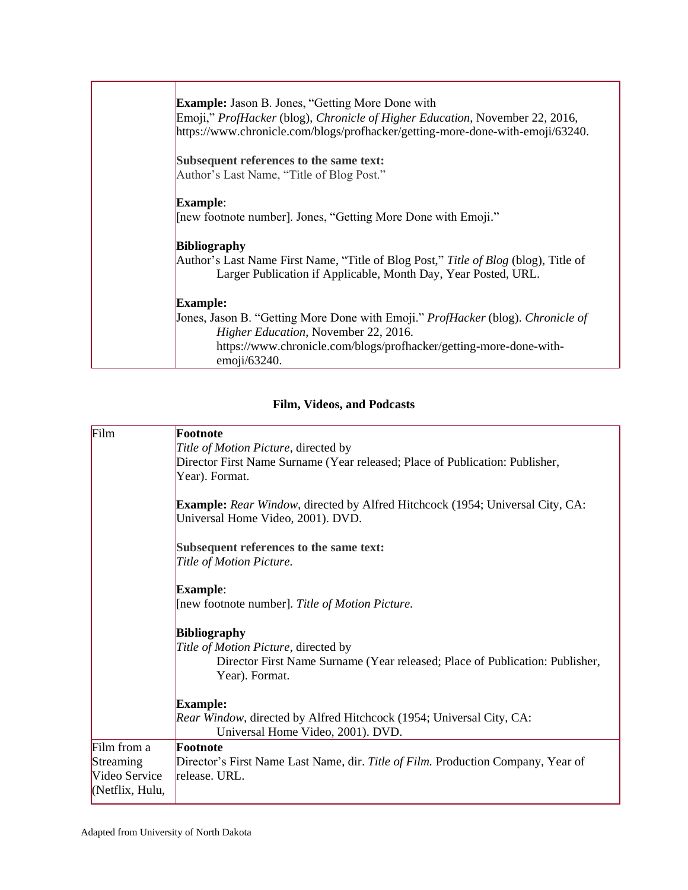| <b>Example:</b> Jason B. Jones, "Getting More Done with<br>Emoji," ProfHacker (blog), Chronicle of Higher Education, November 22, 2016,<br>https://www.chronicle.com/blogs/profhacker/getting-more-done-with-emoji/63240.   |
|-----------------------------------------------------------------------------------------------------------------------------------------------------------------------------------------------------------------------------|
| Subsequent references to the same text:<br>Author's Last Name, "Title of Blog Post."                                                                                                                                        |
| <b>Example:</b><br>[new footnote number]. Jones, "Getting More Done with Emoji."                                                                                                                                            |
| <b>Bibliography</b><br>Author's Last Name First Name, "Title of Blog Post," Title of Blog (blog), Title of<br>Larger Publication if Applicable, Month Day, Year Posted, URL.                                                |
| <b>Example:</b>                                                                                                                                                                                                             |
| Jones, Jason B. "Getting More Done with Emoji." <i>ProfHacker</i> (blog). <i>Chronicle of</i><br>Higher Education, November 22, 2016.<br>https://www.chronicle.com/blogs/profhacker/getting-more-done-with-<br>emoji/63240. |

# **Film, Videos, and Podcasts**

| Film            | Footnote                                                                                                                  |
|-----------------|---------------------------------------------------------------------------------------------------------------------------|
|                 | Title of Motion Picture, directed by                                                                                      |
|                 | Director First Name Surname (Year released; Place of Publication: Publisher,                                              |
|                 | Year). Format.                                                                                                            |
|                 | <b>Example:</b> Rear Window, directed by Alfred Hitchcock (1954; Universal City, CA:<br>Universal Home Video, 2001). DVD. |
|                 |                                                                                                                           |
|                 | Subsequent references to the same text:                                                                                   |
|                 | Title of Motion Picture.                                                                                                  |
|                 | <b>Example:</b>                                                                                                           |
|                 | [new footnote number]. Title of Motion Picture.                                                                           |
|                 | <b>Bibliography</b>                                                                                                       |
|                 | Title of Motion Picture, directed by                                                                                      |
|                 | Director First Name Surname (Year released; Place of Publication: Publisher,<br>Year). Format.                            |
|                 | <b>Example:</b>                                                                                                           |
|                 | Rear Window, directed by Alfred Hitchcock (1954; Universal City, CA:<br>Universal Home Video, 2001). DVD.                 |
| Film from a     | Footnote                                                                                                                  |
| Streaming       | Director's First Name Last Name, dir. Title of Film. Production Company, Year of                                          |
| Video Service   | release. URL.                                                                                                             |
| (Netflix, Hulu, |                                                                                                                           |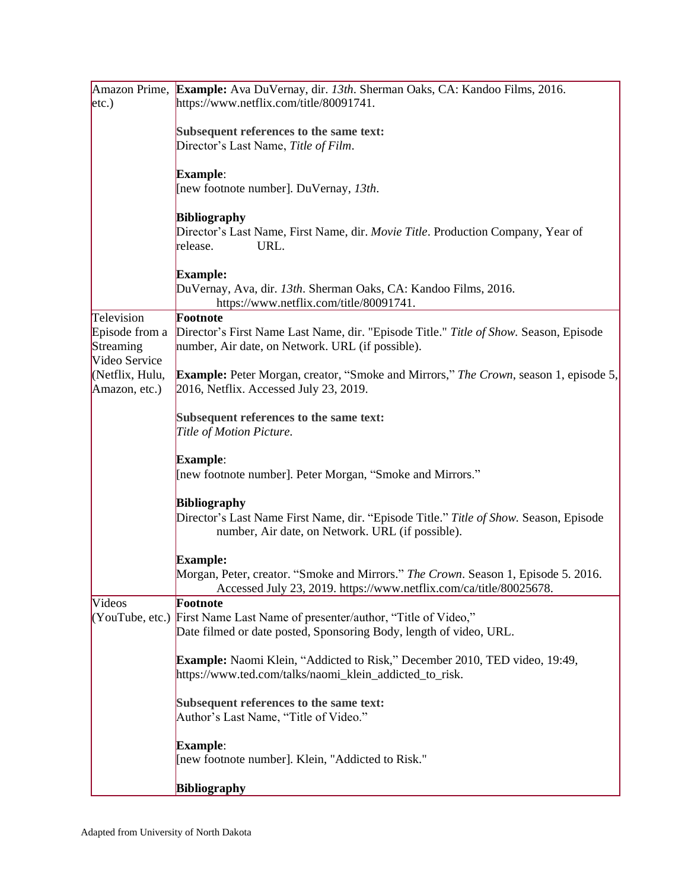| etc.)                            | Amazon Prime, Example: Ava DuVernay, dir. 13th. Sherman Oaks, CA: Kandoo Films, 2016.<br>https://www.netflix.com/title/80091741.                                 |
|----------------------------------|------------------------------------------------------------------------------------------------------------------------------------------------------------------|
|                                  |                                                                                                                                                                  |
|                                  | Subsequent references to the same text:<br>Director's Last Name, Title of Film.                                                                                  |
|                                  |                                                                                                                                                                  |
|                                  | <b>Example:</b><br>[new footnote number]. DuVernay, 13th.                                                                                                        |
|                                  |                                                                                                                                                                  |
|                                  | <b>Bibliography</b><br>Director's Last Name, First Name, dir. Movie Title. Production Company, Year of<br>URL.<br>release.                                       |
|                                  | <b>Example:</b>                                                                                                                                                  |
|                                  | DuVernay, Ava, dir. 13th. Sherman Oaks, CA: Kandoo Films, 2016.<br>https://www.netflix.com/title/80091741.                                                       |
| Television<br>Episode from a     | Footnote<br>Director's First Name Last Name, dir. "Episode Title." Title of Show. Season, Episode                                                                |
| Streaming<br>Video Service       | number, Air date, on Network. URL (if possible).                                                                                                                 |
| (Netflix, Hulu,<br>Amazon, etc.) | <b>Example:</b> Peter Morgan, creator, "Smoke and Mirrors," The Crown, season 1, episode 5,<br>2016, Netflix. Accessed July 23, 2019.                            |
|                                  | Subsequent references to the same text:                                                                                                                          |
|                                  | Title of Motion Picture.                                                                                                                                         |
|                                  | Example:                                                                                                                                                         |
|                                  | [new footnote number]. Peter Morgan, "Smoke and Mirrors."                                                                                                        |
|                                  | <b>Bibliography</b><br>Director's Last Name First Name, dir. "Episode Title." Title of Show. Season, Episode<br>number, Air date, on Network. URL (if possible). |
|                                  | <b>Example:</b>                                                                                                                                                  |
|                                  | Morgan, Peter, creator. "Smoke and Mirrors." The Crown. Season 1, Episode 5. 2016.<br>Accessed July 23, 2019. https://www.netflix.com/ca/title/80025678.         |
| Videos                           | Footnote<br>(YouTube, etc.) First Name Last Name of presenter/author, "Title of Video,"                                                                          |
|                                  | Date filmed or date posted, Sponsoring Body, length of video, URL.                                                                                               |
|                                  | <b>Example:</b> Naomi Klein, "Addicted to Risk," December 2010, TED video, 19:49,<br>https://www.ted.com/talks/naomi_klein_addicted_to_risk.                     |
|                                  | Subsequent references to the same text:<br>Author's Last Name, "Title of Video."                                                                                 |
|                                  | Example:<br>[new footnote number]. Klein, "Addicted to Risk."                                                                                                    |
|                                  | <b>Bibliography</b>                                                                                                                                              |